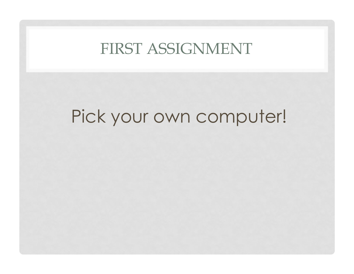### FIRST ASSIGNMENT

# Pick your own computer!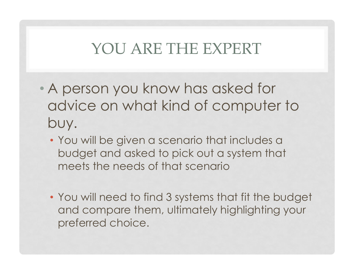## YOU ARE THE EXPERT

- A person you know has asked for advice on what kind of computer to buy.
	- You will be given a scenario that includes a budget and asked to pick out a system that meets the needs of that scenario
	- You will need to find 3 systems that fit the budget and compare them, ultimately highlighting your preferred choice.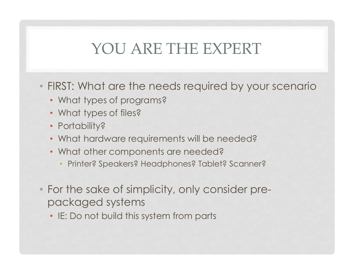## YOU ARE THE EXPERT

- FIRST: What are the needs required by your scenario
	- What types of programs?
	- What types of files?
	- Portability?
	- What hardware requirements will be needed?
	- What other components are needed?
		- Printer? Speakers? Headphones? Tablet? Scanner?
- For the sake of simplicity, only consider prepackaged systems
	- IE: Do not build this system from parts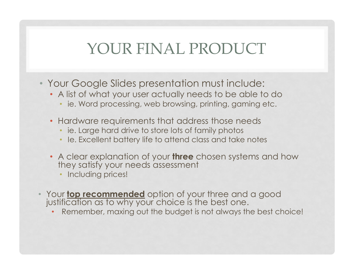## YOUR FINAL PRODUCT

- Your Google Slides presentation must include:
	- A list of what your user actually needs to be able to do
		- ie. Word processing, web browsing, printing, gaming etc.
	- Hardware requirements that address those needs
		- ie. Large hard drive to store lots of family photos
		- Ie. Excellent battery life to attend class and take notes
	- A clear explanation of your three chosen systems and how they satisfy your needs assessment
		- Including prices!
- Your top recommended option of your three and a good justification as to why your choice is the best one.
	- Remember, maxing out the budget is not always the best choice!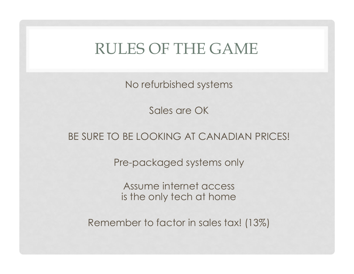### RULES OF THE GAME

No refurbished systems

Sales are OK

#### BE SURE TO BE LOOKING AT CANADIAN PRICES!

Pre-packaged systems only

Assume internet access is the only tech at home

Remember to factor in sales tax! (13%)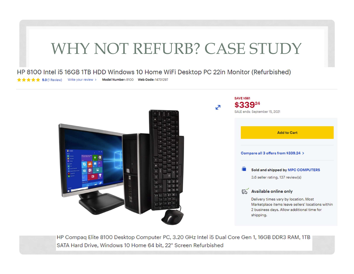## WHY NOT REFURB? CASE STUDY

HP 8100 Intel i5 16GB 1TB HDD Windows 10 Home WiFi Desktop PC 22in Monitor (Refurbished)

★★★★★ 5.0 (1 Review) Write your review > Model Number: 8100 Web Code: 14731297



HP Compaq Elite 8100 Desktop Computer PC, 3.20 GHz Intel i5 Dual Core Gen 1, 16GB DDR3 RAM, 1TB SATA Hard Drive, Windows 10 Home 64 bit, 22" Screen Refurbished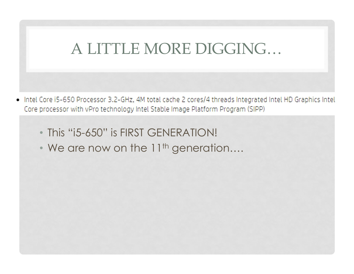## A LITTLE MORE DIGGING…

- Intel Core i5-650 Processor 3.2-GHz, 4M total cache 2 cores/4 threads Integrated Intel HD Graphics Intel  $\bullet$ Core processor with vPro technology Intel Stable Image Platform Program (SIPP)
	- This "i5-650" is FIRST GENERATION!
	- We are now on the 11<sup>th</sup> generation....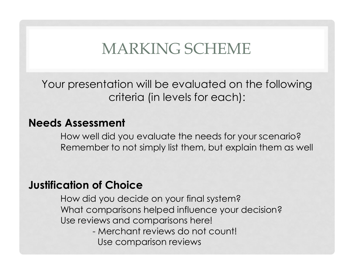## MARKING SCHEME

Your presentation will be evaluated on the following criteria (in levels for each):

#### Needs Assessment

How well did you evaluate the needs for your scenario? Remember to not simply list them, but explain them as well

#### Justification of Choice

How did you decide on your final system? What comparisons helped influence your decision? Use reviews and comparisons here! **Sment**<br>
All did you evaluate the needs for your scent<br>
her to not simply list them, but explain then<br> **of Choice**<br>
d you decide on your final system?<br>
omparisons helped influence your decision<br>
lews and comparisons here!<br>

Use comparison reviews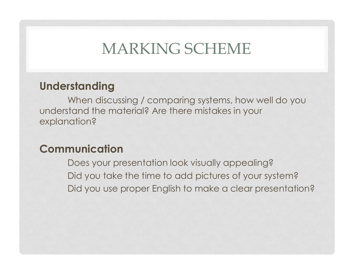### MARKING SCHEME

### Understanding

When discussing / comparing systems, how well do you understand the material? Are there mistakes in your explanation?

### Communication

Does your presentation look visually appealing? Did you take the time to add pictures of your system? Did you use proper English to make a clear presentation?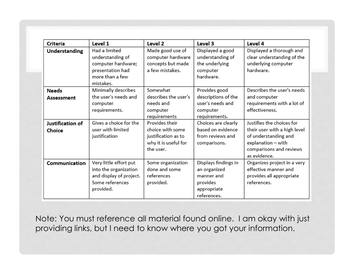| Criteria         | Level 1                 | Level 2              | Level 3              | Level 4                      |
|------------------|-------------------------|----------------------|----------------------|------------------------------|
| Understanding    | Had a limited           | Made good use of     | Displayed a good     | Displayed a thorough and     |
|                  | understanding of        | computer hardware    | understanding of     | clear understanding of the   |
|                  | computer hardware;      | concepts but made    | the underlying       | underlying computer          |
|                  | presentation had        | a few mistakes.      | computer             | hardware.                    |
|                  | more than a few         |                      | hardware.            |                              |
|                  | mistakes.               |                      |                      |                              |
| <b>Needs</b>     | Minimally describes     | Somewhat             | Provides good        | Describes the user's needs   |
| Assessment       | the user's needs and    | describes the user's | descriptions of the  | and computer                 |
|                  | computer                | needs and            | user's needs and     | requirements with a lot of   |
|                  | requirements.           | computer             | computer             | effectiveness.               |
|                  |                         | requirements         | requirements.        |                              |
| Justification of | Gives a choice for the  | Provides their       | Choices are clearly  | Justifies the choices for    |
| Choice           | user with limited       | choice with some     | based on evidence    | their user with a high level |
|                  | justification           | justification as to  | from reviews and     | of understanding and         |
|                  |                         | why it is useful for | comparisons.         | explanation - with           |
|                  |                         | the user.            |                      | comparisons and reviews      |
|                  |                         |                      |                      | as evidence.                 |
| Communication    | Very little effort put  | Some organization    | Displays findings in | Organizes project in a very  |
|                  | into the organization   | done and some        | an organized         | effective manner and         |
|                  | and display of project. | references           | manner and           | provides all appropriate     |
|                  | Some references         | provided.            | provides             | references.                  |
|                  | provided.               |                      | appropriate          |                              |
|                  |                         |                      | references.          |                              |